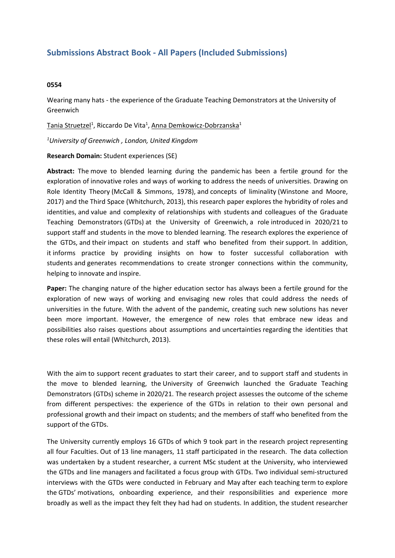## **Submissions Abstract Book - All Papers (Included Submissions)**

## **0554**

Wearing many hats - the experience of the Graduate Teaching Demonstrators at the University of Greenwich

Tania Struetzel<sup>1</sup>, Riccardo De Vita<sup>1</sup>, Anna Demkowicz-Dobrzanska<sup>1</sup>

*1 University of Greenwich , London, United Kingdom*

## **Research Domain:** Student experiences (SE)

**Abstract:** The move to blended learning during the pandemic has been <sup>a</sup> fertile ground for the exploration of innovative roles and ways of working to address the needs of universities. Drawing on Role Identity Theory (McCall & Simmons, 1978), and concepts of liminality (Winstone and Moore, 2017) and the Third Space (Whitchurch, 2013), this research paper explores the hybridity of roles and identities, and value and complexity of relationships with students and colleagues of the Graduate Teaching Demonstrators (GTDs) at the University of Greenwich, a role introduced in 2020/21 to support staff and students in the move to blended learning. The research explores the experience of the GTDs, and their impact on students and staff who benefited from their support. In addition, it informs practice by providing insights on how to foster successful collaboration with students and generates recommendations to create stronger connections within the community, helping to innovate and inspire.

**Paper:** The changing nature of the higher education sector has always been <sup>a</sup> fertile ground for the exploration of new ways of working and envisaging new roles that could address the needs of universities in the future. With the advent of the pandemic, creating such new solutions has never been more important. However, the emergence of new roles that embrace new ideas and possibilities also raises questions about assumptions and uncertainties regarding the identities that these roles will entail (Whitchurch, 2013).

With the aim to support recent graduates to start their career, and to support staff and students in the move to blended learning, the University of Greenwich launched the Graduate Teaching Demonstrators (GTDs) scheme in 2020/21. The research project assesses the outcome of the scheme from different perspectives: the experience of the GTDs in relation to their own personal and professional growth and their impact on students; and the members of staff who benefited from the support of the GTDs.

The University currently employs 16 GTDs of which 9 took part in the research project representing all four Faculties. Out of 13 line managers, 11 staff participated in the research. The data collection was undertaken by <sup>a</sup> student researcher, <sup>a</sup> current MSc student at the University, who interviewed the GTDs and line managers and facilitated <sup>a</sup> focus group with GTDs. Two individual semi-structured interviews with the GTDs were conducted in February and May after each teaching term to explore the GTDs' motivations, onboarding experience, and their responsibilities and experience more broadly as well as the impact they felt they had had on students. In addition, the student researcher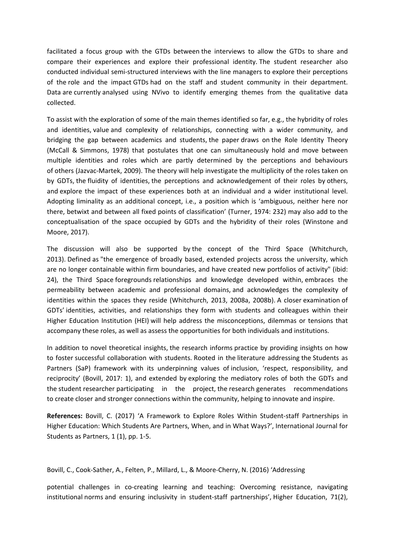facilitated <sup>a</sup> focus group with the GTDs between the interviews to allow the GTDs to share and compare their experiences and explore their professional identity. The student researcher also conducted individual semi-structured interviews with the line managers to explore their perceptions of the role and the impact GTDs had on the staff and student community in their department. Data are currently analysed using NVivo to identify emerging themes from the qualitative data collected.

To assist with the exploration of some of the main themes identified so far, e.g., the hybridity of roles and identities, value and complexity of relationships, connecting with <sup>a</sup> wider community, and bridging the gap between academics and students, the paper draws on the Role Identity Theory (McCall & Simmons, 1978) that postulates that one can simultaneously hold and move between multiple identities and roles which are partly determined by the perceptions and behaviours of others (Jazvac-Martek, 2009). The theory will help investigate the multiplicity of the roles taken on by GDTs, the fluidity of identities, the perceptions and acknowledgement of their roles by others, and explore the impact of these experiences both at an individual and <sup>a</sup> wider institutional level. Adopting liminality as an additional concept, i.e., <sup>a</sup> position which is 'ambiguous, neither here nor there, betwixt and between all fixed points of classification' (Turner, 1974: 232) may also add to the conceptualisation of the space occupied by GDTs and the hybridity of their roles (Winstone and Moore, 2017).

The discussion will also be supported by the concept of the Third Space (Whitchurch, 2013). Defined as "the emergence of broadly based, extended projects across the university, which are no longer containable within firm boundaries, and have created new portfolios of activity" (ibid: 24), the Third Space foregrounds relationships and knowledge developed within, embraces the permeability between academic and professional domains, and acknowledges the complexity of identities within the spaces they reside (Whitchurch, 2013, 2008a, 2008b). A closer examination of GDTs' identities, activities, and relationships they form with students and colleagues within their Higher Education Institution (HEI) will help address the misconceptions, dilemmas or tensions that accompany these roles, as well as assess the opportunities for both individuals and institutions.

In addition to novel theoretical insights, the research informs practice by providing insights on how to foster successful collaboration with students. Rooted in the literature addressing the Students as Partners (SaP) framework with its underpinning values of inclusion, 'respect, responsibility, and reciprocity' (Bovill, 2017: 1), and extended by exploring the mediatory roles of both the GDTs and the student researcher participating in the project, the research generates recommendations to create closer and stronger connections within the community, helping to innovate and inspire.

**References:** Bovill, C. (2017) 'A Framework to Explore Roles Within Student-staff Partnerships in Higher Education: Which Students Are Partners, When, and in What Ways?', International Journal for Students as Partners, 1 (1), pp. 1-5.

Bovill, C., Cook-Sather, A., Felten, P., Millard, L., & Moore-Cherry, N. (2016) 'Addressing

potential challenges in co-creating learning and teaching: Overcoming resistance, navigating institutional norms and ensuring inclusivity in student-staff partnerships', Higher Education, 71(2),